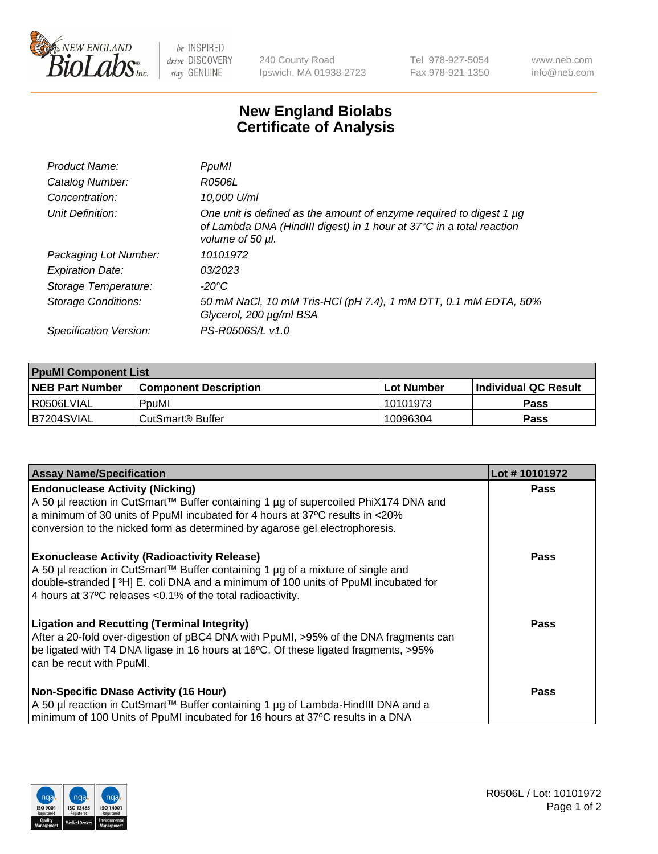

 $be$  INSPIRED drive DISCOVERY stay GENUINE

240 County Road Ipswich, MA 01938-2723 Tel 978-927-5054 Fax 978-921-1350 www.neb.com info@neb.com

## **New England Biolabs Certificate of Analysis**

| Product Name:           | PpuMI                                                                                                                                                                |
|-------------------------|----------------------------------------------------------------------------------------------------------------------------------------------------------------------|
| Catalog Number:         | R0506L                                                                                                                                                               |
| Concentration:          | 10,000 U/ml                                                                                                                                                          |
| Unit Definition:        | One unit is defined as the amount of enzyme required to digest 1 $\mu$ g<br>of Lambda DNA (HindIII digest) in 1 hour at 37°C in a total reaction<br>volume of 50 µl. |
| Packaging Lot Number:   | 10101972                                                                                                                                                             |
| <b>Expiration Date:</b> | 03/2023                                                                                                                                                              |
| Storage Temperature:    | -20°C                                                                                                                                                                |
| Storage Conditions:     | 50 mM NaCl, 10 mM Tris-HCl (pH 7.4), 1 mM DTT, 0.1 mM EDTA, 50%<br>Glycerol, 200 µg/ml BSA                                                                           |
| Specification Version:  | PS-R0506S/L v1.0                                                                                                                                                     |

| <b>PpuMI Component List</b> |                              |             |                       |  |  |
|-----------------------------|------------------------------|-------------|-----------------------|--|--|
| <b>NEB Part Number</b>      | <b>Component Description</b> | ⊺Lot Number | ∣Individual QC Result |  |  |
| R0506LVIAL                  | PpuMI                        | 10101973    | Pass                  |  |  |
| IB7204SVIAL                 | l CutSmart® Buffer           | 10096304    | <b>Pass</b>           |  |  |

| <b>Assay Name/Specification</b>                                                                                                                             | Lot #10101972 |
|-------------------------------------------------------------------------------------------------------------------------------------------------------------|---------------|
| <b>Endonuclease Activity (Nicking)</b>                                                                                                                      | <b>Pass</b>   |
| A 50 µl reaction in CutSmart™ Buffer containing 1 µg of supercoiled PhiX174 DNA and                                                                         |               |
| a minimum of 30 units of PpuMI incubated for 4 hours at 37°C results in <20%<br>conversion to the nicked form as determined by agarose gel electrophoresis. |               |
|                                                                                                                                                             |               |
| <b>Exonuclease Activity (Radioactivity Release)</b>                                                                                                         | <b>Pass</b>   |
| A 50 µl reaction in CutSmart™ Buffer containing 1 µg of a mixture of single and                                                                             |               |
| double-stranded [3H] E. coli DNA and a minimum of 100 units of PpuMI incubated for                                                                          |               |
| 4 hours at 37°C releases < 0.1% of the total radioactivity.                                                                                                 |               |
| <b>Ligation and Recutting (Terminal Integrity)</b>                                                                                                          | Pass          |
| After a 20-fold over-digestion of pBC4 DNA with PpuMI, >95% of the DNA fragments can                                                                        |               |
| be ligated with T4 DNA ligase in 16 hours at 16°C. Of these ligated fragments, >95%                                                                         |               |
| can be recut with PpuMI.                                                                                                                                    |               |
| <b>Non-Specific DNase Activity (16 Hour)</b>                                                                                                                | <b>Pass</b>   |
| A 50 µl reaction in CutSmart™ Buffer containing 1 µg of Lambda-HindIII DNA and a                                                                            |               |
| minimum of 100 Units of PpuMI incubated for 16 hours at 37°C results in a DNA                                                                               |               |